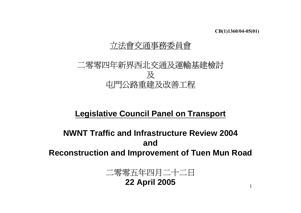1

# 立法會交通事務委員會

# 二零零四年新界西北交通及運輸基建檢討 及 屯門公路重建及改善工程

# **Legislative Council Panel on Transport**

# **NWNT Traffic and Infrastructure Review 2004and**

**Reconstruction and Improvement of Tuen Mun Road**

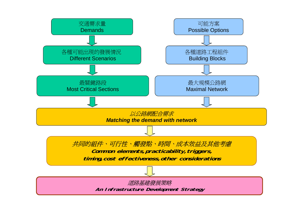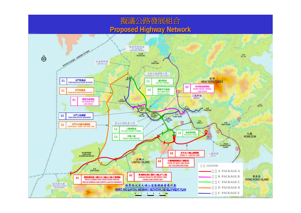## 擬議公路發展組合 **Proposed Highway Network Proposed Highway Network**

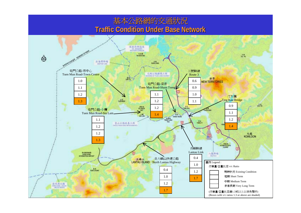### 基本公路網的交通狀況 **Traffic Condition Under Base Network Traffic Condition Under Base Network**

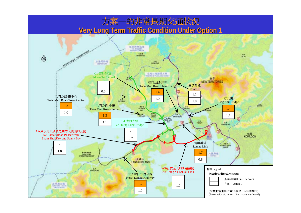### 方案一的非常長期交通狀況 **Very Long Term Traffic Condition Under Option 1 Very Long Term Traffic Condition Under Option 1**

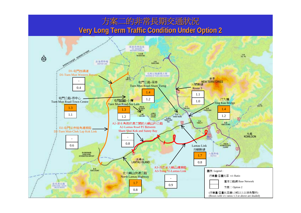# 方案二的非常長期交通狀況 **Very Long Term Traffic Condition Under Option 2 Very Long Term Traffic Condition Under Option 2**

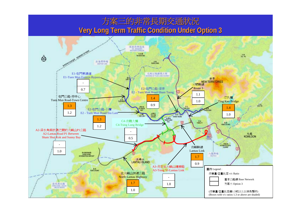# 方案三的非常長期交通狀況 **Very Long Term Traffic Condition Under Option 3 Very Long Term Traffic Condition Under Option 3**

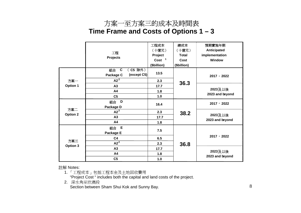### 方案一至方案三的成本及時間表 **Time Frame and Costs of Options 1 – 3**

|                        |                              | 工程成本                             | 總成本          | 預期實施年期                     |
|------------------------|------------------------------|----------------------------------|--------------|----------------------------|
|                        | 工程<br><b>Projects</b>        | (十億元)                            | (十億元)        | Anticipated                |
|                        |                              | Project                          | <b>Total</b> | implementation             |
|                        |                              | Cost <sup>1</sup>                | Cost         | Window                     |
|                        |                              | (\$billion)                      | (\$billion)  |                            |
|                        | (C5 除外)<br>$\mathbf c$<br>組合 | 13.5<br>(except C5)<br>Package C |              |                            |
| 方案一<br><b>Option 1</b> |                              |                                  | 2017 - 2022  |                            |
|                        | A2 <sup>2</sup>              | 2.3                              | 36.3         |                            |
|                        | A3                           | 17.7                             |              | 2023及以後<br>2023 and beyond |
|                        | A4                           | 1.8                              |              |                            |
|                        | C <sub>5</sub>               | 1.0                              |              |                            |
| 方案二<br>Option 2        | D<br>組合                      |                                  |              | $2017 - 2022$              |
|                        | Package D                    | 16.4                             |              |                            |
|                        | A2 <sup>2</sup>              | 2.3                              | 38.2         | 2023及以後<br>2023 and beyond |
|                        | A3                           | 17.7                             |              |                            |
|                        | A4                           | 1.8                              |              |                            |
|                        | $\mathsf E$<br>組合            |                                  |              | 2017 - 2022                |
| 方案三<br>Option 3        | Package E                    | 7.5                              |              |                            |
|                        | C <sub>4</sub>               | 6.5                              |              |                            |
|                        | A2 <sup>2</sup>              | 2.3                              | 36.8         |                            |
|                        | A3                           | 17.7                             |              |                            |
|                        | A4                           | 1.8                              |              | 2023及以後                    |
|                        | C <sub>5</sub>               | 1.0                              |              | 2023 and beyond            |

註解 Notes:

1. 「工程成本」包括工程本金及土地回收費用

"Project Cost " includes both the capital and land costs of the project.

2. 深水角至欣澳段

Section between Sham Shui Kok and Sunny Bay.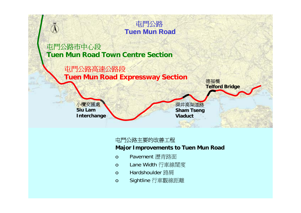

### 屯門公路 **Tuen Mun Road**

屯門公路市中心段 **Tuen Mun Road Town Centre Section**

> 屯門公路高速公路段 **Tuen Mun Road Expressway Section**



德福橋

**Telford Bridge**

小欖交匯處 **Siu LamInterchange**

屯門公路主要的改善工程

#### **Major Improvements to Tuen Mun Road**

- <sup>o</sup> Pavement 瀝青路面
- <sup>o</sup> Lane Width 行車線闊度
- <sup>o</sup> Hardshoulder 路肩
- <sup>o</sup> Sightline 行車觀線距離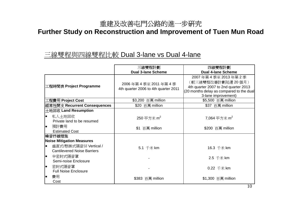#### 重建及改善屯門公路的進一步研究

### **Further Study on Reconstruction and Improvement of Tuen Mun Road**

#### 三線雙程與四線雙程比較 Dual 3-lane vs Dual 4-lane

|                                                                                                            | 三線雙程計劃                                                    | 四線雙程計劃                                                                                                                                              |
|------------------------------------------------------------------------------------------------------------|-----------------------------------------------------------|-----------------------------------------------------------------------------------------------------------------------------------------------------|
|                                                                                                            | <b>Dual 3-lane Scheme</b>                                 | <b>Dual 4-lane Scheme</b>                                                                                                                           |
| 工程時間表 Project Programme                                                                                    | 2006年第4季至2011年第4季<br>4th quarter 2006 to 4th quarter 2011 | 2007年第4季至2013年第2季<br>(較三線雙程改善計劃延遲 20 個月)<br>4th quarter 2007 to 2nd quarter 2013<br>(20 months delay as compared to the dual<br>3-lane improvement) |
| 工程費用 Project Cost                                                                                          | \$3,200 百萬 million                                        | \$5,500 百萬 million                                                                                                                                  |
| 經常性開支 Recurrent Consequences                                                                               | \$20 百萬 million                                           | \$37 百萬 million                                                                                                                                     |
| 土地回收 Land Resumption<br>私人土地回收<br>$\bullet$<br>Private land to be resumed<br>預計費用<br><b>Estimated Cost</b> | 250 平方米 $m2$<br>\$1 百萬 million                            | 7,064 平方米 m <sup>2</sup><br>\$200 百萬 million                                                                                                        |
| 噪音抒緩措施<br><b>Noise Mitigation Measures</b>                                                                 |                                                           |                                                                                                                                                     |
| 垂直式/懸掛式隔音屏 Vertical /<br>lo<br><b>Cantilevered Noise Barriers</b><br>半密封式隔音罩<br>le                         | 5.1 千米 km                                                 | 16.3 千米 km                                                                                                                                          |
| Semi-noise Enclosure<br>le                                                                                 |                                                           | 2.5 千米 km                                                                                                                                           |
| 密封式隔音罩<br><b>Full Noise Enclosure</b>                                                                      |                                                           | 0.22 千米 km                                                                                                                                          |
| 費用<br>lo<br>Cost                                                                                           | \$383 百萬 million                                          | \$1,300 百萬 million                                                                                                                                  |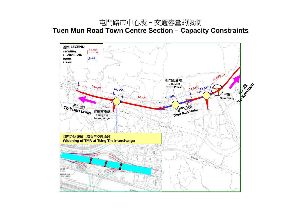### 屯門路市中心段 **–** 交通容量的限制 **Tuen Mun Road Town Centre Section – Capacity Constraints**